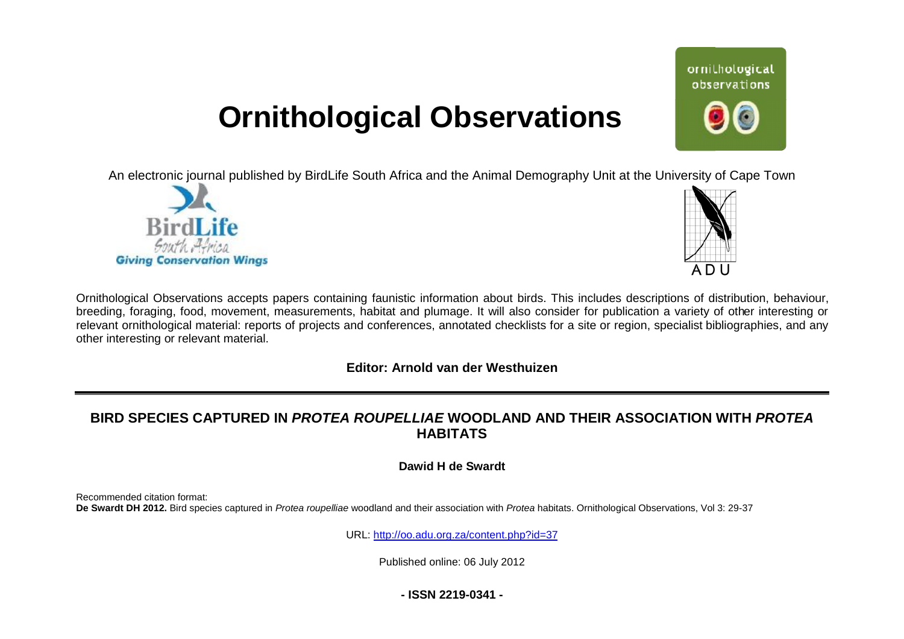# **Ornithological Observations**

An electronic journal published by BirdLife South Africa and the Animal Demography Unit at the University of Cape Town





ornithological observations

Ornithological Observations accepts papers containing faunistic information about birds. This includes descriptions of distribution, behaviour, breeding, foraging, food, movement, measurements, habitat and plumage. It will also consider for publication a variety of other interesting or relevant ornithological material: reports of projects and conferences, annotated checklists for a site or region, specialist bibliographies, and any other interesting or relevant material.

## **Editor: Arnold van der Westhuizen**

## **BIRD SPECIES CAPTURED IN** *PROTEA ROUPELLIAE* **WOODLAND AND THEIR ASSOCIATION WITH SSOCIATION** *PROTEA* **HABITATS**

**Dawid H de Swardt** 

Recommended citation format: De Swardt DH 2012. Bird species captured in *Protea roupelliae* woodland and their association with Protea habitats. Ornithological Observations, Vol 3: 29-37

URL: <http://oo.adu.org.za/content.php?id=37>

Published online: 06 July 2012

**- ISSN 2219-0341 -**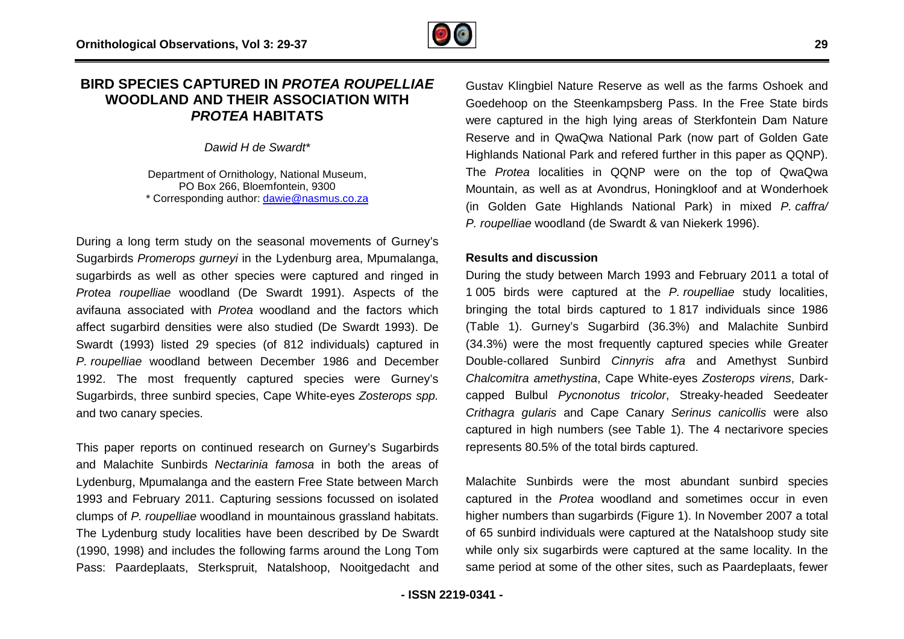## **BIRD SPECIES CAPTURED IN** *PROTEA ROUPELLIAE* **WOODLAND AND THEIR ASSOCIATION WITH N** *PROTEA* **HABITATS**

*Dawid H de Swardt\**

Department of Ornithology, National Museum, PO Box 266, Bloemfontein, 9300 \* Corresponding author: [dawie@nasmus.co.za](mailto:dawie@nasmus.co.za)

During a long term study on the seasonal movements of Gurney's Sugarbirds *Promerops gurneyi* in the Lydenburg area, Mpumalanga, sugarbirds as well as other species were captured and ringed in *Protea roupelliae* woodland (De Swardt 1991). Aspects of the avifauna associated with *Protea* woodland and the factors which affect sugarbird densities were also studied (De Swardt 1993). De Swardt (1993) listed 29 species (of 812 individuals) captured in *P. roupelliae* woodland between December 1986 and December 1992. The most frequently captured species were Gurney's Sugarbirds, three sunbird species, Cape White-eyes *Zosterops spp.* and two canary species. e seasonal move<br>n the Lydenburg<br>ecies were captu<br>De Swardt 1991<br>a woodland and<br>also studied (De

This paper reports on continued research on Gurney's Sugarbirds and Malachite Sunbirds *Nectarinia famosa* in both the areas of Lydenburg, Mpumalanga and the eastern Free State between March 1993 and February 2011. Capturing sessions focussed on isolated clumps of *P. roupelliae* woodland in mountainous grassland habitats. The Lydenburg study localities have been described by De Swardt (1990, 1998) and includes the following farms around the Long Tom Pass: Paardeplaats, Sterkspruit, Natalshoop, Nooitgedacht and

Gustav Klingbiel Nature Reserve as well as the farms Oshoek and Goedehoop on the Steenkampsberg Pass. In the Free State birds were captured in the high lying areas of Sterkfontein Dam h Nature Reserve and in QwaQwa National Park (now part of Golden Gate Reserve and in QwaQwa National Park (now part of Golden Gate<br>Highlands National Park and refered further in this paper as QQNP). The *Protea* localities in QQNP were on the top of QwaQwa Mountain, as well as at Avondrus, Honingkloof and at Wonderhoek (in Golden Gate Highlands National Park) in mixed P. caffra/ *P. roupelliae* woodland (de Swardt & van Niekerk 1996).

#### **Results and discussion**

During the study between March 1993 and February 2011 a total of 1 005 birds were captured at the *P. roupelliae* study localities, bringing the total birds captured to 1 817 individuals since 1986 (Table 1). Gurney's Sugarbird (36.3%) and Malachite Sunbird (34.3%) were the most frequently captured species while Greater Double-collared Sunbird *Cinnyris afra* and Amethyst Sunbird *Chalcomitra amethystina*, Cape White-eyes *Zosterops virens* , Dark capped Bulbul Pycnonotus tricolor, Streaky-headed Seedeater *Crithagra gularis* and Cape Canary *Serinus canicollis* were also captured in high numbers (see Table 1). The 4 nectarivore species represents 80.5% of the total birds captured.

Malachite Sunbirds were the most abundant sunbird species Malachite Sunbirds were the most abundant sunbird species<br>captured in the *Protea* woodland and sometimes occur in even higher numbers than sugarbirds (Figure 1). In November 2007 a total of 65 sunbird individuals were captured at the Natalshoop study site while only six sugarbirds were captured at the same locality. In the same period at some of the other sites, such as Paardeplaats, fewer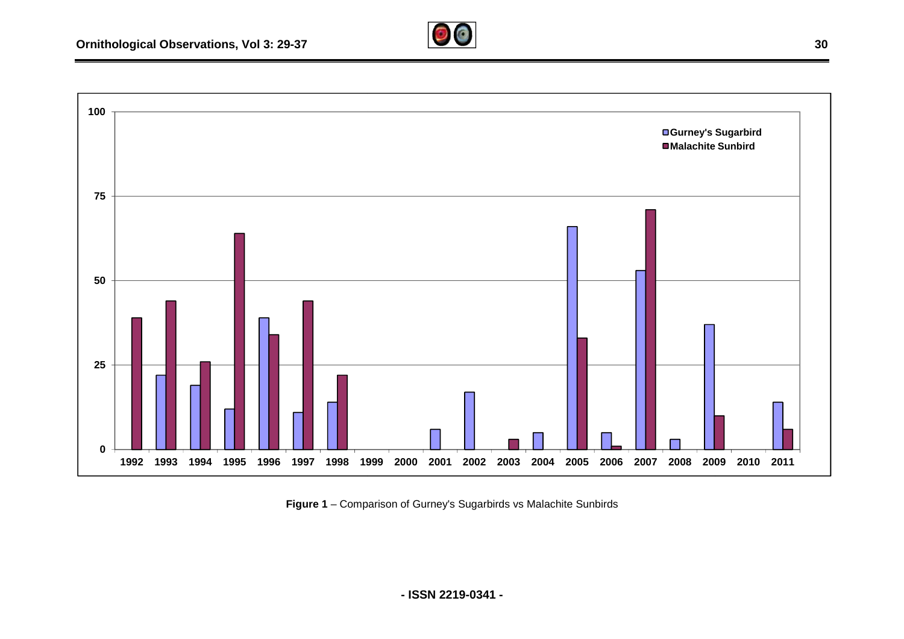#### **Ornithological Observations, Vol 3: 29-37**



Figure 1 – Comparison of Gurney's Sugarbirds vs Malachite Sunbirds

**- ISSN 2219-0341 -**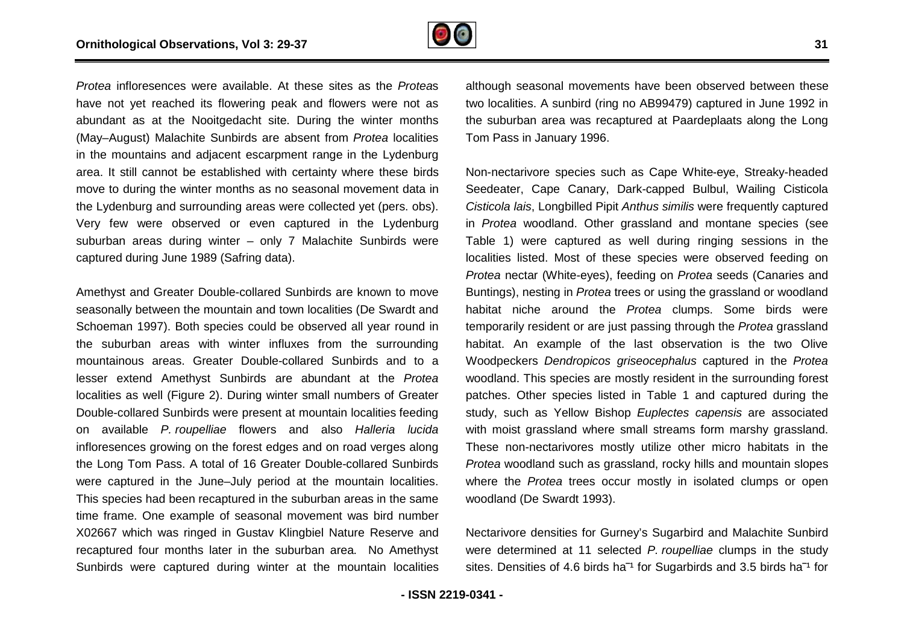

*Protea* infloresences were available. At these sites as the *Protea*s have not yet reached its flowering peak and flowers were not as abundant as at the Nooitgedacht site. During the winter months (May–August) Malachite Sunbirds are absent from *Protea* localities in the mountains and adjacent escarpment range in the Lydenburg area. It still cannot be established with certainty where these birds move to during the winter months as no seasonal movement data in the Lydenburg and surrounding areas were collected yet (pers. obs). Very few were observed or even captured in the Lydenburg suburban areas during winter – only 7 Malachite Sunbirds were captured during June 1989 (Safring data).

Amethyst and Greater Double-collared Sunbirds are known to move seasonally between the mountain and town localities (De Swardt and Schoeman 1997). Both species could be observed all year round in Amethyst and Greater Double-collared Sunbirds are known to move<br>seasonally between the mountain and town localities (De Swardt and<br>Schoeman 1997). Both species could be observed all year round in<br>the suburban areas with wi mountainous areas. Greater Double-collared Sunbirds and to a mountainous areas. Greater Double-collared Sunbirds and to a<br>lesser extend Amethyst Sunbirds are abundant at the *Protea* localities as well (Figure 2). During winter small numbers of Greater Double-collared Sunbirds were present at mountain localities feeding on available *P. roupelliae* flowers and also *Halleria lucida*  infloresences growing on the forest edges and on road verges along the Long Tom Pass. A total of 16 Greater Double-collared Sunbirds were captured in the June-July period at the mountain localities. This species had been recaptured in the suburban areas in the same time frame. One example of seasonal movement was bird number X02667 which was ringed in Gustav Klingbiel Nature Reserve and recaptured four months later in the suburban area. No Amethyst Sunbirds were captured during winter at the mountain localities

although seasonal movements have been observed between these two localities. A sunbird (ring no AB99479) captured in June 1992 in the suburban area was recaptured at Paardeplaats along the Long Tom Pass in January 1996.

Non-nectarivore species such as Cape White-eye, Streaky-headed Seedeater, Cape Canary, Dark-capped Bulbul, Wailing Cisticola *Cisticola lais*, Longbilled Pipit *Anthus similis* were frequently captured in *Protea* woodland. Other grassland and montane species (see Table 1) were captured as well during ringing sessions in the localities listed. Most of these species were observed feeding on *Protea* nectar (White-eyes), feeding on *Protea* seeds (Canaries and Buntings), nesting in *Protea* trees or using the grassland or woodland habitat niche around the Protea clumps. Some birds were temporarily resident or are just passing through the Protea grassland habitat. An example of the last observation is the two Olive Woodpeckers *Dendropicos griseocephalus* captured in the *Protea* woodland. This species are mostly resident in the surrounding forest patches. Other species listed in Table 1 and captured during the study, such as Yellow Bishop *Euplectes capensis* are associated with moist grassland where small streams form marshy grassland. These non-nectarivores mostly utilize other micro habitats in the *Protea* woodland such as grassland, rocky hills and mountain slopes where the *Protea* trees occur mostly in isolated clumps or open woodland (De Swardt 1993). capped Bulbul, Wailing Cisticola<br>
us similis were frequently captured<br>
sland and montane species (see<br>
I during ringing sessions in the<br>
pecies were observed feeding on t grassland where small streams form marshy grassland.<br>
In-nectarivores mostly utilize other micro habitats in the<br>
bodland such as grassland, rocky hills and mountain slopes<br>
Protea trees occur mostly in isolated clumps o

Nectarivore densities for Gurney's Sugarbird and Malachite Sunbird were determined at 11 selected *P. roupelliae* sites. Densities of 4.6 birds ha<sup>-1</sup> for Sugarbirds and 3.5 birds ha<sup>-1</sup> for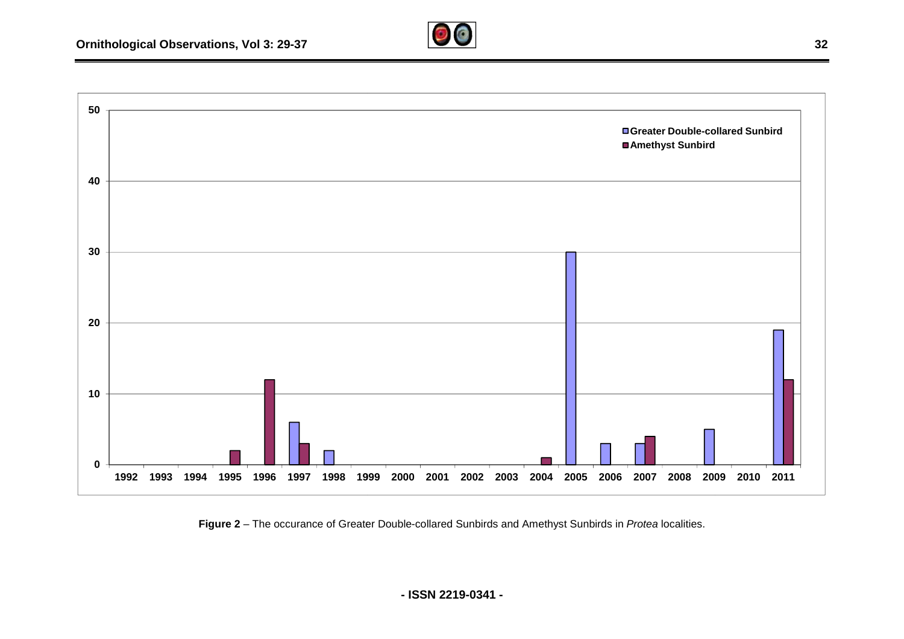

Figure 2 – The occurance of Greater Double-collared Sunbirds and Amethyst Sunbirds in *Protea* localities.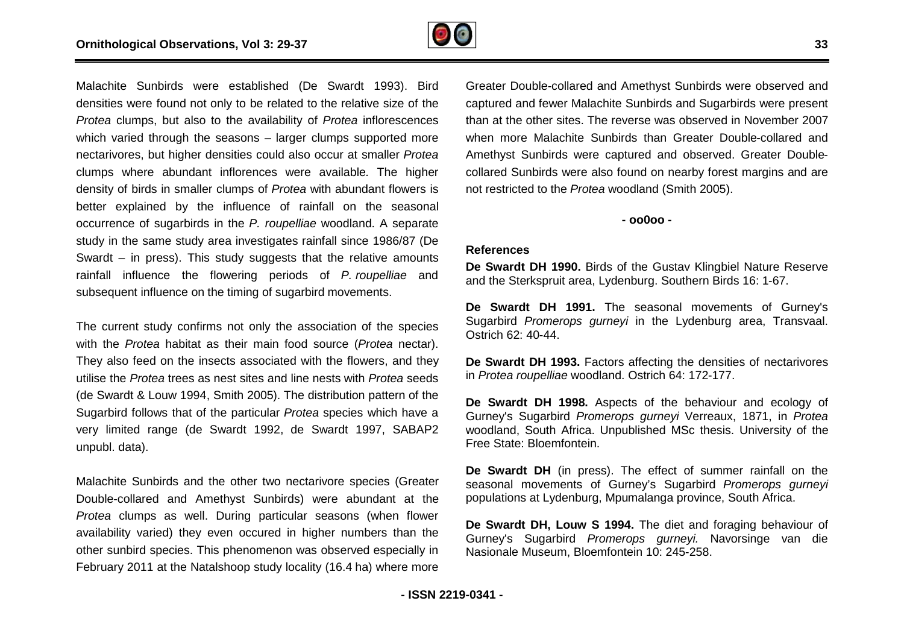

Malachite Sunbirds were established (De Swardt 1993). Bird densities were found not only to be related to the relative size of the *Protea* clumps, but also to the availability of *Protea* inflorescences which varied through the seasons – larger clumps supported more nectarivores, but higher densities could also occur at smaller *Protea* clumps where abundant inflorences were available. . The higher density of birds in smaller clumps of *Protea* with abundant flowers is better explained by the influence of rainfall on the seasonal occurrence of sugarbirds in the P. roupelliae woodland. A separate study in the same study area investigates rainfall since 1986/87 (De Swardt – in press). This study suggests that the relative amounts rainfall influence the flowering periods of *P. roupelliae* and subsequent influence on the timing of sugarbird movements.

The current study confirms not only the association of the species with the *Protea* habitat as their main food source (*Protea* nectar). They also feed on the insects associated with the flowers, and they utilise the *Protea* trees as nest sites and line nests with *Protea* seeds (de Swardt & Louw 1994, Smith 2005). The distribution pattern of the Sugarbird follows that of the particular *Protea* species which have a very limited range (de Swardt 1992, de Swardt 1997, SABAP2 unpubl. data).

Malachite Sunbirds and the other two nectarivore species (Greater Double-collared and Amethyst Sunbirds) were abundant at the *Protea* clumps as well. During particular seasons (when flower availability varied) they even occured in higher numbers than the other sunbird species. This phenomenon was observed especially in February 2011 at the Natalshoop study locality (16.4 ha) where more collared and Amethyst Sunbirds) were abundant at the clumps as well. During particular seasons (when flower lity varied) they even occured in higher numbers than the unbird species. This phenomenon was observed especially Greater Double-collared and Amethyst Sunbirds were observed and Greater Double-collared and Amethyst Sunbirds were observed and<br>captured and fewer Malachite Sunbirds and Sugarbirds were present than at the other sites. The reverse was observed in November 2007 when more Malachite Sunbirds than Greater Double Double-collared and Amethyst Sunbirds were captured and observed. Greater Double Doublecollared Sunbirds were also found on nearby forest margins and are not restricted to the *Protea* woodland (Smith 2005).

**- oo0oo -** 

#### **References**

**De Swardt DH 1990.** Birds of the Gustav Klingbiel Nature Reserve and the Sterkspruit area, Lydenburg. Southern Birds 16: 1 1-67.

**De Swardt DH 1991.** The seasonal movements of Gu Gurney's Sugarbird *Promerops gurneyi* in the Lydenburg area, Transvaal. Ostrich 62: 40-44.

**De Swardt DH 1993.** Factors affecting the densities of nectarivores in Protea roupelliae woodland. Ostrich 64: 172-177.

**De Swardt DH 1998.** Aspects of the behaviour and ecology of Gurney's Sugarbird *Promerops gurneyi* Verreaux, 1871, in *Protea* woodland, South Africa. Unpublished MSc thesis. University of the Free State: Bloemfontein.

De Swardt DH (in press). The effect of summer rainfall on the seasonal movements of Gurney's Sugarbird *Promerops gurneyi* populations at Lydenburg, Mpumalanga province, South Africa.

**De Swardt DH, Louw S 1994.** The diet and foraging behaviour of Gurney's Sugarbird *Promerops gurneyi.* Navors Nasionale Museum, Bloemfontein 10: 245-258. malanga province, South Africa.<br>I. The diet and foraging behaviour of<br>ops g*urneyi.* Navorsinge van die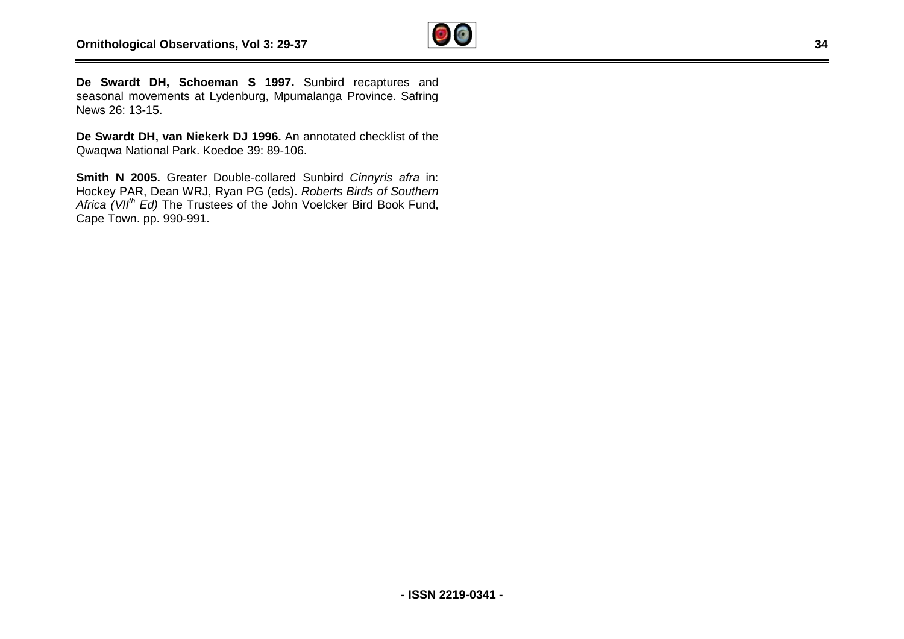

**De Swardt DH, Schoeman S 1997.** Sunbird recaptures and seasonal movements at Lydenburg, Mpumalanga Province. Safring News 26: 13-15.

**De Swardt DH, van Niekerk DJ 1996.** An annotated checklist of the Qwaqwa National Park. Koedoe 39: 89-106.

**Smith N 2005.** Greater Double-collared Sunbird *Cinnyris afra* in: Hockey PAR, Dean WRJ, Ryan PG (eds). *Roberts Birds of Southern Africa (VIIth Ed)* The Trustees of the John Voelcker Bird Book Fund, Cape Town. pp. 990-991.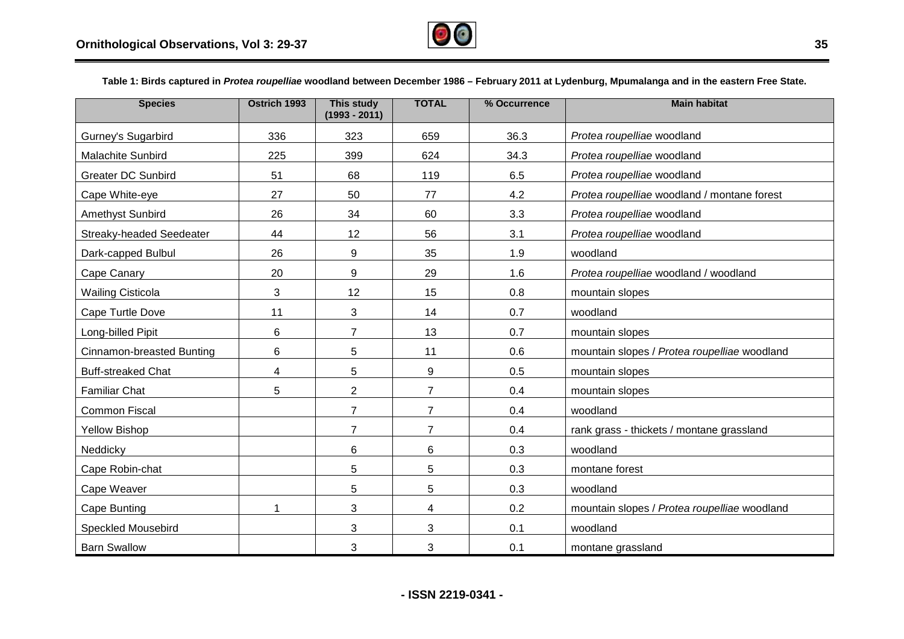

Table 1: Birds captured in *Protea roupelliae* woodland between December 1986 – February 2011 at Lydenburg, Mpumalanga and in the eastern Free State.

| <b>Species</b>            | Ostrich 1993 | <b>This study</b><br>$(1993 - 2011)$ | <b>TOTAL</b>   | % Occurrence | <b>Main habitat</b>                          |
|---------------------------|--------------|--------------------------------------|----------------|--------------|----------------------------------------------|
| Gurney's Sugarbird        | 336          | 323                                  | 659            | 36.3         | Protea roupelliae woodland                   |
| Malachite Sunbird         | 225          | 399                                  | 624            | 34.3         | Protea roupelliae woodland                   |
| <b>Greater DC Sunbird</b> | 51           | 68                                   | 119            | 6.5          | Protea roupelliae woodland                   |
| Cape White-eye            | 27           | 50                                   | 77             | 4.2          | Protea roupelliae woodland / montane forest  |
| Amethyst Sunbird          | 26           | 34                                   | 60             | 3.3          | Protea roupelliae woodland                   |
| Streaky-headed Seedeater  | 44           | 12                                   | 56             | 3.1          | Protea roupelliae woodland                   |
| Dark-capped Bulbul        | 26           | 9                                    | 35             | 1.9          | woodland                                     |
| Cape Canary               | 20           | 9                                    | 29             | 1.6          | Protea roupelliae woodland / woodland        |
| <b>Wailing Cisticola</b>  | 3            | 12                                   | 15             | 0.8          | mountain slopes                              |
| Cape Turtle Dove          | 11           | 3                                    | 14             | 0.7          | woodland                                     |
| Long-billed Pipit         | 6            | $\overline{7}$                       | 13             | 0.7          | mountain slopes                              |
| Cinnamon-breasted Bunting | 6            | 5                                    | 11             | 0.6          | mountain slopes / Protea roupelliae woodland |
| <b>Buff-streaked Chat</b> | 4            | 5                                    | 9              | 0.5          | mountain slopes                              |
| <b>Familiar Chat</b>      | 5            | $\overline{2}$                       | $\overline{7}$ | 0.4          | mountain slopes                              |
| <b>Common Fiscal</b>      |              | $\overline{7}$                       | 7              | 0.4          | woodland                                     |
| <b>Yellow Bishop</b>      |              | $\overline{7}$                       | $\overline{7}$ | 0.4          | rank grass - thickets / montane grassland    |
| Neddicky                  |              | 6                                    | 6              | 0.3          | woodland                                     |
| Cape Robin-chat           |              | 5                                    | 5              | 0.3          | montane forest                               |
| Cape Weaver               |              | 5                                    | 5              | 0.3          | woodland                                     |
| Cape Bunting              | 1            | 3                                    | 4              | 0.2          | mountain slopes / Protea roupelliae woodland |
| <b>Speckled Mousebird</b> |              | 3                                    | 3              | 0.1          | woodland                                     |
| <b>Barn Swallow</b>       |              | 3                                    | 3              | 0.1          | montane grassland                            |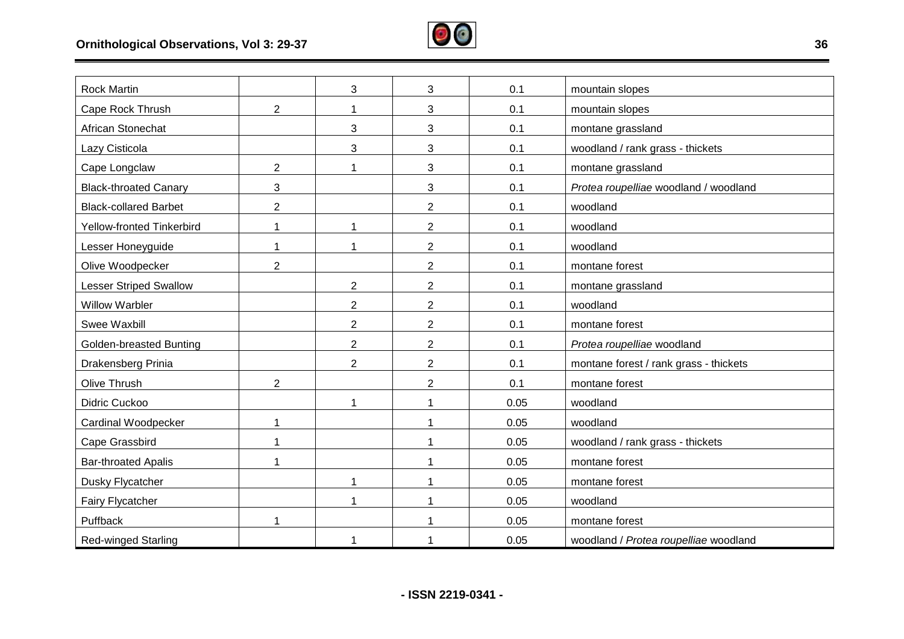

| <b>Rock Martin</b>            |                | 3              | 3              | 0.1  | mountain slopes                        |
|-------------------------------|----------------|----------------|----------------|------|----------------------------------------|
| Cape Rock Thrush              | $\overline{2}$ | 1              | 3              | 0.1  | mountain slopes                        |
| African Stonechat             |                | 3              | 3              | 0.1  | montane grassland                      |
| Lazy Cisticola                |                | 3              | 3              | 0.1  | woodland / rank grass - thickets       |
| Cape Longclaw                 | $\overline{2}$ | 1              | 3              | 0.1  | montane grassland                      |
|                               |                |                |                |      |                                        |
| <b>Black-throated Canary</b>  | 3              |                | 3              | 0.1  | Protea roupelliae woodland / woodland  |
| <b>Black-collared Barbet</b>  | $\overline{2}$ |                | $\overline{2}$ | 0.1  | woodland                               |
| Yellow-fronted Tinkerbird     |                | 1              | $\sqrt{2}$     | 0.1  | woodland                               |
| Lesser Honeyguide             |                |                | $\overline{2}$ | 0.1  | woodland                               |
| Olive Woodpecker              | $\overline{2}$ |                | $\overline{2}$ | 0.1  | montane forest                         |
| <b>Lesser Striped Swallow</b> |                | $\overline{2}$ | $\overline{2}$ | 0.1  | montane grassland                      |
| <b>Willow Warbler</b>         |                | $\overline{2}$ | $\overline{2}$ | 0.1  | woodland                               |
| Swee Waxbill                  |                | $\overline{2}$ | $\overline{2}$ | 0.1  | montane forest                         |
| Golden-breasted Bunting       |                | $\overline{2}$ | $\overline{2}$ | 0.1  | Protea roupelliae woodland             |
| Drakensberg Prinia            |                | $\overline{2}$ | $\overline{2}$ | 0.1  | montane forest / rank grass - thickets |
| Olive Thrush                  | $\overline{2}$ |                | $\overline{2}$ | 0.1  | montane forest                         |
| Didric Cuckoo                 |                | 1              | 1              | 0.05 | woodland                               |
| Cardinal Woodpecker           | 1              |                | 1              | 0.05 | woodland                               |
| Cape Grassbird                |                |                | 1              | 0.05 | woodland / rank grass - thickets       |
| <b>Bar-throated Apalis</b>    |                |                | 1              | 0.05 | montane forest                         |
| Dusky Flycatcher              |                | 1              | 1              | 0.05 | montane forest                         |
| Fairy Flycatcher              |                | 1              | 1              | 0.05 | woodland                               |
| Puffback                      | 1              |                | 1              | 0.05 | montane forest                         |
| Red-winged Starling           |                |                |                | 0.05 | woodland / Protea roupelliae woodland  |